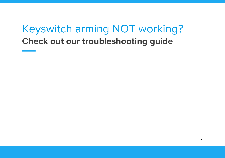# Keyswitch arming NOT working? **Check out our troubleshooting guide**

1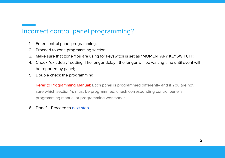# Incorrect control panel programming?

- 1. Enter control panel programming;
- 2. Proceed to zone programming section;
- 3. Make sure that zone You are using for keyswitch is set as "MOMENTARY KEYSWITCH";
- 4. Check "exit delay" setting. The longer delay the longer will be waiting time until event will be reported by panel;
- 5. Double check the programming;

Refer to Programming Manual: Each panel is programmed differently and if You are not sure which section/-s must be programmed, check corresponding control panel's programming manual or programming worksheet.

6. Done? - Proceed to [next step](#page-2-0)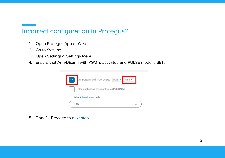# <span id="page-2-0"></span>Incorrect configuration in Protegus?

- 1. Open Protegus App or Web;
- 2. Go to System;
- 3. Open Settings-> Settings Menu
- 4. Ensure that Arm/Disarm with PGM is activated and PULSE mode is SET.

| Arm/Disarm with PGM Output 1 Main v<br>Pulse <sub>v</sub> |
|-----------------------------------------------------------|
| Use Application password for ARM/DISARM                   |
| Pulse interval in seconds                                 |
| 3 sec.                                                    |

5. Done? - Proceed to [next step](#page-3-0)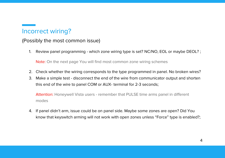## <span id="page-3-0"></span>Incorrect wiring?

### (Possibly the most common issue)

1. Review panel programming - which zone wiring type is set? NC/NO, EOL or maybe DEOL? ;

Note: On the next page You will find most common zone wiring schemes

- 2. Check whether the wiring corresponds to the type programmed in panel. No broken wires?
- 3. Make a simple test disconnect the end of the wire from communicator output and shorten this end of the wire to panel COM or AUX- terminal for 2-3 seconds;

Attention: Honeywell Vista users - remember that PULSE time arms panel in different modes

4. If panel didn't arm, issue could be on panel side. Maybe some zones are open? Did You know that keyswitch arming will not work with open zones unless "Force" type is enabled?;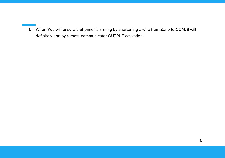5. When You will ensure that panel is arming by shortening a wire from Zone to COM, it will definitely arm by remote communicator OUTPUT activation.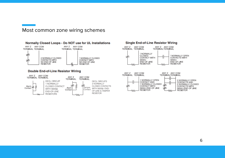#### Most common zone wiring schemes



M∿

#### **Single End-of-Line Resistor Wiring**